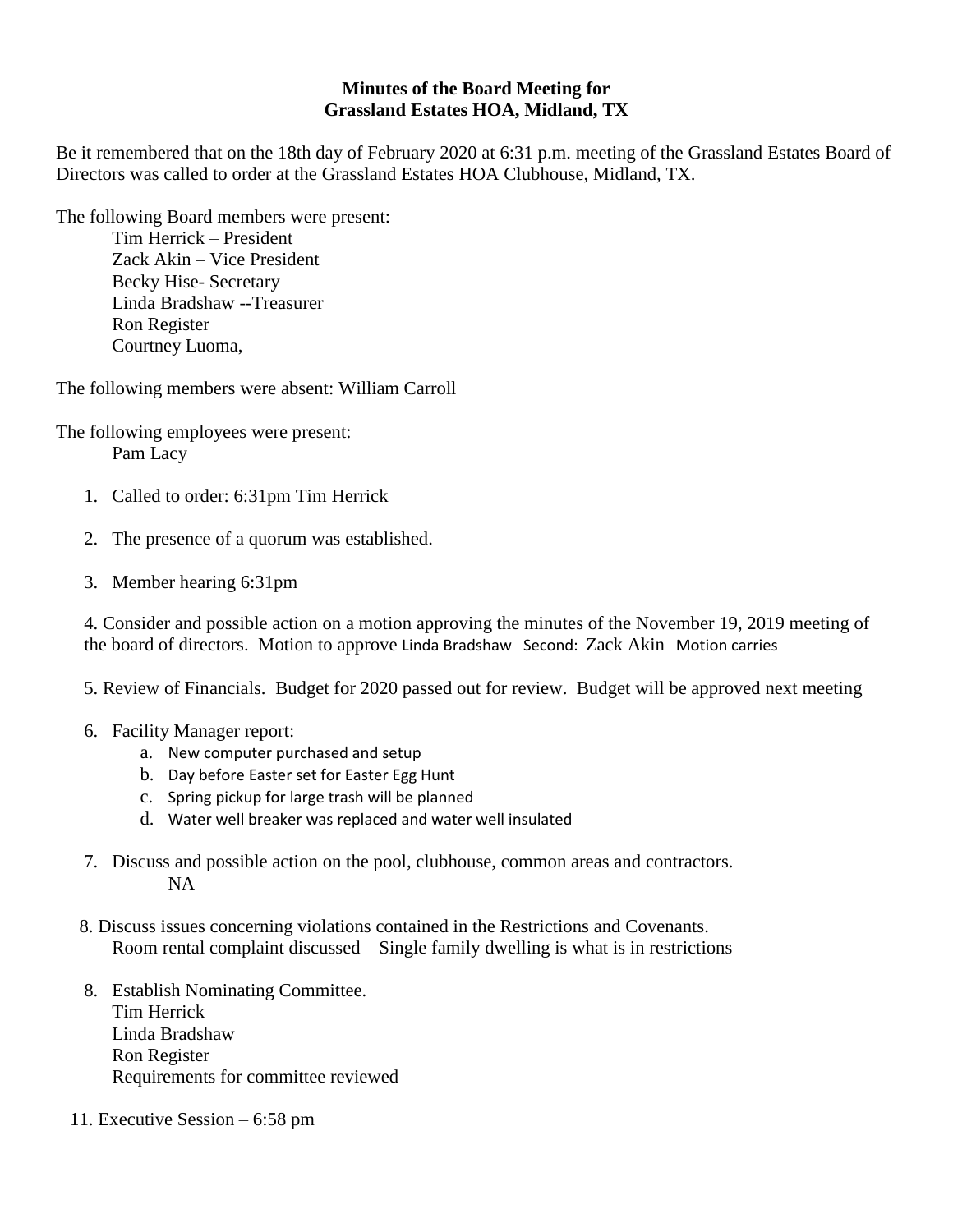## **Minutes of the Board Meeting for Grassland Estates HOA, Midland, TX**

Be it remembered that on the 18th day of February 2020 at 6:31 p.m. meeting of the Grassland Estates Board of Directors was called to order at the Grassland Estates HOA Clubhouse, Midland, TX.

The following Board members were present:

Tim Herrick – President Zack Akin – Vice President Becky Hise- Secretary Linda Bradshaw --Treasurer Ron Register Courtney Luoma,

The following members were absent: William Carroll

The following employees were present:

Pam Lacy

- 1. Called to order: 6:31pm Tim Herrick
- 2. The presence of a quorum was established.
- 3. Member hearing 6:31pm

4. Consider and possible action on a motion approving the minutes of the November 19, 2019 meeting of the board of directors. Motion to approve Linda Bradshaw Second: Zack Akin Motion carries

5. Review of Financials. Budget for 2020 passed out for review. Budget will be approved next meeting

- 6. Facility Manager report:
	- a. New computer purchased and setup
	- b. Day before Easter set for Easter Egg Hunt
	- c. Spring pickup for large trash will be planned
	- d. Water well breaker was replaced and water well insulated
- 7. Discuss and possible action on the pool, clubhouse, common areas and contractors. NA
- 8. Discuss issues concerning violations contained in the Restrictions and Covenants. Room rental complaint discussed – Single family dwelling is what is in restrictions
- 8. Establish Nominating Committee. Tim Herrick Linda Bradshaw Ron Register Requirements for committee reviewed
- 11. Executive Session 6:58 pm